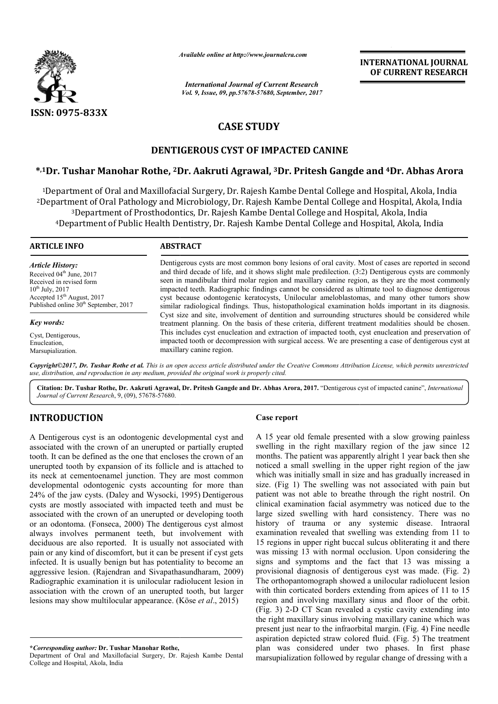

*Available online at http://www.journalcra.com*

*International Journal of Current Research Vol. 9, Issue, 09, pp.57678-57680, September, 2017* **INTERNATIONAL JOURNAL OF CURRENT RESEARCH**

# **CASE STUDY**

## **DENTIGEROUS CYST OF IMPACTED CANINE**

### **\*,1Dr. Tushar Manohar Rothe, 2Dr. Dr. Aakruti Agrawal, 3Dr. Pritesh Gangde and 4Dr. Abhas Arora**

1Department of Oral and Maxillofacial Surgery, Dr. Rajesh Kambe Dental College and Hospital, Akola, India <sup>2</sup>Department of Oral Pathology and Microbiology, Dr. Rajesh Kambe Dental College and Hospital, Akola, India <sup>3</sup>Department of Prosthodontics, Dr. Rajesh Kambe Dental College and Hospital, Akola, India <sup>4</sup>Department of Public Health Dentistry, Dr. Rajesh Kambe Dental College and Hospital, Akola, India

| <b>ARTICLE INFO</b>                                                                                                                                                                                                | <b>ABSTRACT</b>                                                                                                                                                                                                                                                                                                                                                                                                                                                                                                                                                                                                                                                                                                                                                                                                                                                                                                                                                                                                                                                                            |
|--------------------------------------------------------------------------------------------------------------------------------------------------------------------------------------------------------------------|--------------------------------------------------------------------------------------------------------------------------------------------------------------------------------------------------------------------------------------------------------------------------------------------------------------------------------------------------------------------------------------------------------------------------------------------------------------------------------------------------------------------------------------------------------------------------------------------------------------------------------------------------------------------------------------------------------------------------------------------------------------------------------------------------------------------------------------------------------------------------------------------------------------------------------------------------------------------------------------------------------------------------------------------------------------------------------------------|
| <b>Article History:</b><br>Received 04 <sup>th</sup> June, 2017<br>Received in revised form<br>$10^{th}$ July, 2017<br>Accepted 15 <sup>th</sup> August, 2017<br>Published online 30 <sup>th</sup> September, 2017 | Dentigerous cysts are most common bony lesions of oral cavity. Most of cases are reported in second<br>and third decade of life, and it shows slight male predilection. (3:2) Dentigerous cysts are commonly<br>seen in mandibular third molar region and maxillary canine region, as they are the most commonly<br>impacted teeth. Radiographic findings cannot be considered as ultimate tool to diagnose dentigerous<br>cyst because odontogenic keratocysts, Unilocular ameloblastomas, and many other tumors show<br>similar radiological findings. Thus, histopathological examination holds important in its diagnosis.<br>Cyst size and site, involvement of dentition and surrounding structures should be considered while<br>treatment planning. On the basis of these criteria, different treatment modalities should be chosen.<br>This includes cyst enucleation and extraction of impacted tooth, cyst enucleation and preservation of<br>impacted tooth or decompression with surgical access. We are presenting a case of dentigerous cyst at<br>maxillary canine region. |
| Key words:                                                                                                                                                                                                         |                                                                                                                                                                                                                                                                                                                                                                                                                                                                                                                                                                                                                                                                                                                                                                                                                                                                                                                                                                                                                                                                                            |
| Cyst, Dentigerous,<br>Enucleation,<br>Marsupialization.                                                                                                                                                            |                                                                                                                                                                                                                                                                                                                                                                                                                                                                                                                                                                                                                                                                                                                                                                                                                                                                                                                                                                                                                                                                                            |

Copyright©2017, Dr. Tushar Rothe et al. This is an open access article distributed under the Creative Commons Attribution License, which permits unrestricted *use, distribution, and reproduction in any medium, provided the original work is properly cited.*

Citation: Dr. Tushar Rothe, Dr. Aakruti Agrawal, Dr. Pritesh Gangde and Dr. Abhas Arora, 2017. "Dentigerous cyst of impacted canine", *International Journal of Current Research*, 9, (09), 57678-57680.

### **INTRODUCTION**

A Dentigerous cyst is an odontogenic developmental cyst and associated with the crown of an unerupted or partially erupted tooth. It can be defined as the one that encloses the crown of an unerupted tooth by expansion of its follicle and is attached to its neck at cementoenamel junction. They are most common developmental odontogenic cysts accounting for more than 24% of the jaw cysts. (Daley and Wysocki, 1995) Dentigerous cysts are mostly associated with impacted teeth and must be associated with the crown of an unerupted or developing tooth or an odontoma. (Fonseca, 2000) The dentigerous cyst almost always involves permanent teeth, but involvement with deciduous are also reported. It is usually not associated with pain or any kind of discomfort, but it can be present if cyst g gets infected. It is usually benign but has potentiality to become an aggressive lesion. (Rajendran and Sivapathasundharam Sivapathasundharam, 2009) Radiographic examination it is unilocular radiolucent lesion in association with the crown of an unerupted tooth, but larger lesions may show multilocular appearance. (Köse *et al.*, 2015)

**\****Corresponding author:* **Dr. Tushar Manohar Rothe,**

Department of Oral and Maxillofacial Surgery, Dr. Rajesh Kambe Dental College and Hospital, Akola, India

#### **Case report**

A 15 year old female presented with a slow growing painless swelling in the right maxillary region of the jaw since 12 months. The patient was apparently alright 1 year back then she noticed a small swelling in the upper right region of the jaw which was initially small in size and has gradually increased in size. (Fig 1) The swelling was not associated with pain but patient was not able to breathe through the right nostril. On clinical examination facial asymmetry was noticed due to the clinical examination facial asymmetry was noticed due to the large sized swelling with hard consistency. There was no history of trauma or any systemic disease. Intraoral examination revealed that swelling was extending from 11 to 15 regions in upper right buccal sulcus obliterating it and there was missing 13 with normal occlusion. Upon considering the signs and symptoms and the fact that 13 was missing a examination revealed that swelling was extending from 11 to 15 regions in upper right buccal sulcus obliterating it and there was missing 13 with normal occlusion. Upon considering the signs and symptoms and the fact that The orthopantomograph showed a unilocular radiolucent lesion with thin corticated borders extending from apices of 11 to 15 region and involving maxillary sinus and floor of the orbit. (Fig. 3) 2-D CT Scan revealed a cystic cavity extending the right maxillary sinus involving maxillary canine which was present just near to the infraorbital margin. (Fig. 4) Fine needle aspiration depicted straw colored fluid. (Fig. 5) The treatment plan was considered under two phases. In first phase plan was considered under two phases. In first phase marsupialization followed by regular change of dressing with a year old female presented with a slow growing<br>ng in the right maxillary region of the jaw s<br>s. The patient was apparently alright 1 year back<br>d a small swelling in the upper right region of<br>was initially small in size and from apices of 11 to 15 sinus and floor of the orbit.<br>A cystic cavity extending into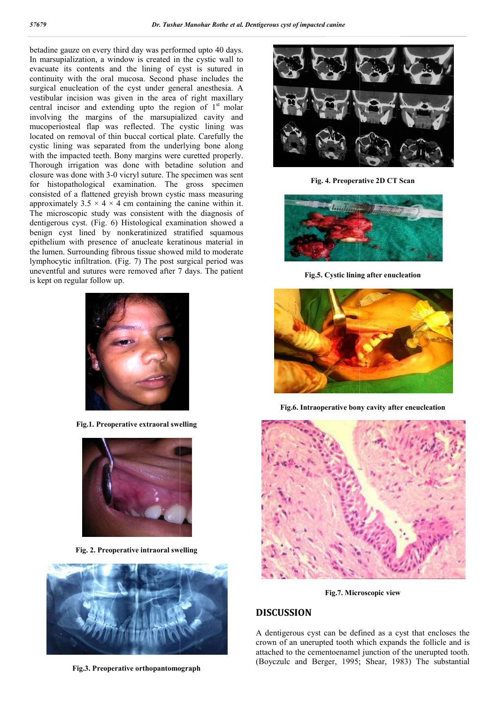betadine gauze on every third day was performed upto 40 days. In marsupialization, a window is created in the cystic wall to evacuate its contents and the lining of cyst is sutured in continuity with the oral mucosa. Second phase includes the surgical enucleation of the cyst under general anesthesia. A vestibular incision was given in the area of right maxillary central incisor and extending upto the region of  $1<sup>st</sup>$  molar involving the margins of the marsupialized cavity and mucoperiosteal flap was reflected. The cystic lining was located on removal of thin buccal cortical plate. Carefully the cystic lining was separated from the underlying bone along with the impacted teeth. Bony margins were curetted properly. Thorough irrigation was done with betadin betadine solution and closure was done with 3-0 vicryl suture. The specimen was sent for histopathological examination. The gross specimen consisted of a flattened greyish brown cystic mass mea measuring approximately  $3.5 \times 4 \times 4$  cm containing the canine within it. The microscopic study was consistent with the diagnosis of dentigerous cyst. (Fig. 6) Histological examination showed a benign cyst lined by nonkeratinized stratified squamous epithelium with presence of anucleate keratinous material in the lumen. Surrounding fibrous tissue showed mild to moderate lymphocytic infiltration. (Fig. 7) The post surgical period was uneventful and sutures were removed after 7 day is kept on regular follow up. he microscopic study was consistent with the diagnosis of entigerous cyst. (Fig. 6) Histological examination showed a enign cyst lined by nonkeratinized stratified squamous pithelium with presence of anucleate keratinous m



**Fig.1. Preoperative extraoral swelling**



**Fig. 2. Preoperative intraoral swelling**



**Fig.3. Preoperative orthopantomograph** 



**Fig. 4. Preoperative 2D CT Scan**



**Fig.5. Cystic lining after enucleation**



**Fig.6. Intraoperative bony cavity after eneucleation**



**Fig.7. Microscopic view**

### **DISCUSSION**

A dentigerous cyst can be defined as a cyst that encloses the crown of an unerupted tooth which expands the follicle and is attached to the cementoenamel junction of the unerupted tooth. attached to the cementoenamel junction of the unerupted tooth.<br>(Boyczulc and Berger, 1995; Shear, 1983) The substantial